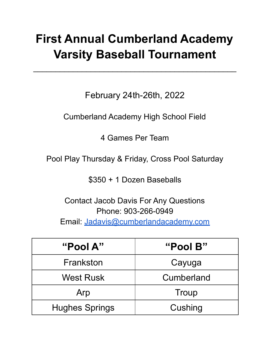# **First Annual Cumberland Academy Varsity Baseball Tournament**

 $\mathcal{L}_\text{max}$  and  $\mathcal{L}_\text{max}$  and  $\mathcal{L}_\text{max}$  and  $\mathcal{L}_\text{max}$  and  $\mathcal{L}_\text{max}$ 

February 24th-26th, 2022

Cumberland Academy High School Field

4 Games Per Team

Pool Play Thursday & Friday, Cross Pool Saturday

\$350 + 1 Dozen Baseballs

Contact Jacob Davis For Any Questions Phone: 903-266-0949 Email: [Jadavis@cumberlandacademy.com](mailto:Jadavis@cumberlandacademy.com)

| "Pool A"              | "Pool B"   |
|-----------------------|------------|
| Frankston             | Cayuga     |
| <b>West Rusk</b>      | Cumberland |
| Arp                   | Troup      |
| <b>Hughes Springs</b> | Cushing    |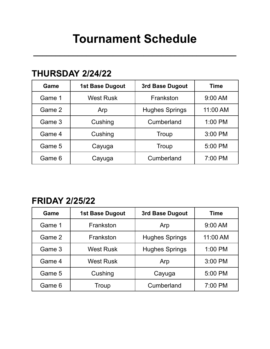# **Tournament Schedule**

**\_\_\_\_\_\_\_\_\_\_\_\_\_\_\_\_\_\_\_\_\_\_\_\_\_\_\_\_\_\_\_\_\_\_\_\_\_\_\_\_\_\_\_\_\_\_**

### **THURSDAY 2/24/22**

| Game   | <b>1st Base Dugout</b> | 3rd Base Dugout       | <b>Time</b> |
|--------|------------------------|-----------------------|-------------|
| Game 1 | <b>West Rusk</b>       | Frankston             | 9:00 AM     |
| Game 2 | Arp                    | <b>Hughes Springs</b> | 11:00 AM    |
| Game 3 | Cushing                | Cumberland            | 1:00 PM     |
| Game 4 | Cushing                | Troup                 | 3:00 PM     |
| Game 5 | Cayuga                 | Troup                 | 5:00 PM     |
| Game 6 | Cayuga                 | Cumberland            | 7:00 PM     |

## **FRIDAY 2/25/22**

| Game   | <b>1st Base Dugout</b> | 3rd Base Dugout       | Time     |
|--------|------------------------|-----------------------|----------|
| Game 1 | Frankston              | Arp                   | 9:00 AM  |
| Game 2 | Frankston              | <b>Hughes Springs</b> | 11:00 AM |
| Game 3 | <b>West Rusk</b>       | <b>Hughes Springs</b> | 1:00 PM  |
| Game 4 | West Rusk              | Arp                   | 3:00 PM  |
| Game 5 | Cushing                | Cayuga                | 5:00 PM  |
| Game 6 | Troup                  | Cumberland            | 7:00 PM  |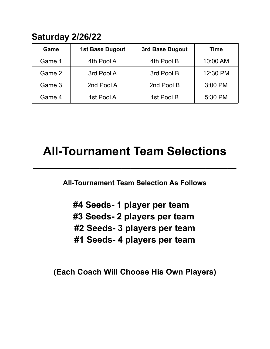## **Saturday 2/26/22**

| Game   | <b>1st Base Dugout</b> | 3rd Base Dugout | <b>Time</b> |
|--------|------------------------|-----------------|-------------|
| Game 1 | 4th Pool A             | 4th Pool B      | 10:00 AM    |
| Game 2 | 3rd Pool A             | 3rd Pool B      | 12:30 PM    |
| Game 3 | 2nd Pool A             | 2nd Pool B      | 3:00 PM     |
| Game 4 | 1st Pool A             | 1st Pool B      | 5:30 PM     |

## **All-Tournament Team Selections**

**\_\_\_\_\_\_\_\_\_\_\_\_\_\_\_\_\_\_\_\_\_\_\_\_\_\_\_\_\_\_\_\_\_\_\_\_\_\_\_\_\_\_\_\_\_\_**

**All-Tournament Team Selection As Follows**

**#4 Seeds- 1 player per team #3 Seeds- 2 players per team #2 Seeds- 3 players per team #1 Seeds- 4 players per team**

**(Each Coach Will Choose His Own Players)**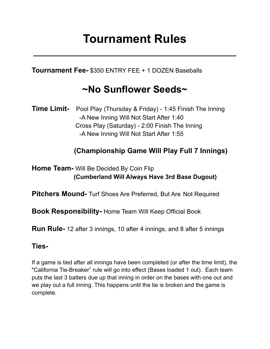# **Tournament Rules**

**\_\_\_\_\_\_\_\_\_\_\_\_\_\_\_\_\_\_\_\_\_\_\_\_\_\_\_\_\_\_\_\_\_\_\_\_\_\_\_\_\_\_\_\_\_\_**

**Tournament Fee-** \$350 ENTRY FEE + 1 DOZEN Baseballs

## **~No Sunflower Seeds~**

**Time Limit-** Pool Play (Thursday & Friday) - 1:45 Finish The Inning -A New Inning Will Not Start After 1:40 Cross Play (Saturday) - 2:00 Finish The Inning -A New Inning Will Not Start After 1:55

### **(Championship Game Will Play Full 7 Innings)**

### **Home Team-** Will Be Decided By Coin Flip **(Cumberland Will Always Have 3rd Base Dugout)**

**Pitchers Mound-** Turf Shoes Are Preferred, But Are Not Required

**Book Responsibility-** Home Team Will Keep Official Book

**Run Rule-** 12 after 3 innings, 10 after 4 innings, and 8 after 5 innings

### **Ties-**

If a game is tied after all innings have been completed (or after the time limit), the "California Tie-Breaker" rule will go into effect (Bases loaded 1 out). Each team puts the last 3 batters due up that inning in order on the bases with one out and we play out a full inning. This happens until the tie is broken and the game is complete.